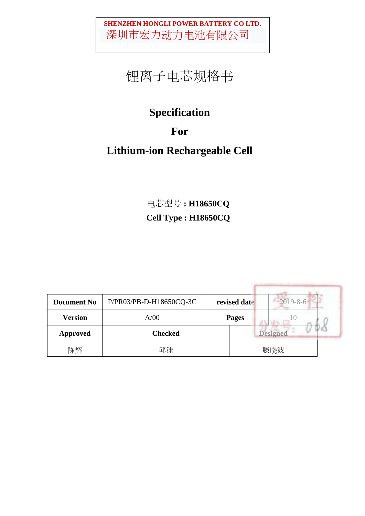# 锂离子电芯规格书

## **Specification**

## **For**

## **Lithium-ion Rechargeable Cell**

电芯型号 **: H18650CQ Cell Type : H18650CQ**

| <b>Document No</b> | P/PR03/PB-D-H18650CQ-3C |              | revised date | $2019 - 8 - 6$  |
|--------------------|-------------------------|--------------|--------------|-----------------|
| <b>Version</b>     | A/00                    | <b>Pages</b> |              |                 |
| <b>Approved</b>    | <b>Checked</b>          |              |              | <b>Designed</b> |
| 陈辉                 | 邱沫                      |              |              | 滕晓波             |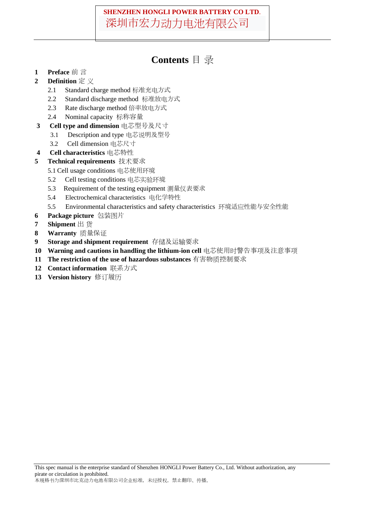### **Contents** 目 录

- **1 Preface** 前 言
- **2 Definition** 定 义
	- 2.1 Standard charge method 标准充电方式
	- 2.2 Standard discharge method 标准放电方式
	- 2.3 Rate discharge method 倍率放电方式
	- 2.4 Nominal capacity 标称容量
- **3 Cell type and dimension** 电芯型号及尺寸
	- 3.1 Description and type 电芯说明及型号
	- 3.2 Cell dimension 电芯尺寸
- **4 Cell characteristics** 电芯特性
- **5 Technical requirements** 技术要求
	- 5.1 Cell usage conditions 电芯使用环境
	- 5.2 Cell testing conditions 电芯实验环境
	- 5.3 Requirement of the testing equipment 测量仪表要求
	- 5.4 Electrochemical characteristics 电化学特性
	- 5.5 Environmental characteristics and safety characteristics 环境适应性能与安全性能
- **6 Package picture** 包装图片
- **7 Shipment** 出 货
- **8 Warranty** 质量保证
- **9 Storage and shipment requirement** 存储及运输要求
- **10 Warning and cautions in handling the lithium-ion cell** 电芯使用时警告事项及注意事项
- **11 The restriction of the use of hazardous substances** 有害物质控制要求
- **12 Contact information** 联系方式
- **13 Version history** 修订履历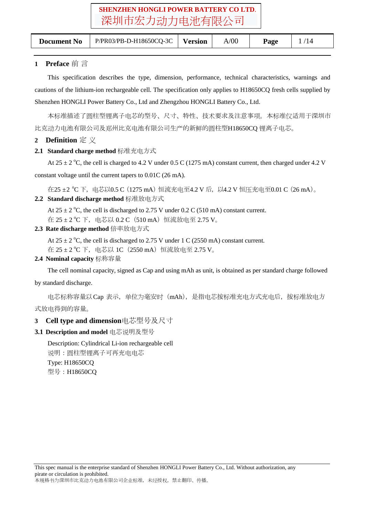| <b>Document No</b> | P/PR03/PB-D-H18650CQ-3C | Version | A/00 | Page |  |
|--------------------|-------------------------|---------|------|------|--|
|                    |                         |         |      |      |  |

### **1 Preface** 前 言

This specification describes the type, dimension, performance, technical characteristics, warnings and cautions of the lithium-ion rechargeable cell. The specification only applies to H18650CQ fresh cells supplied by Shenzhen HONGLI Power Battery Co., Ltd and Zhengzhou HONGLI Battery Co., Ltd.

本标准描述了圆柱型锂离子电芯的型号、尺寸、特性、技术要求及注意事项。本标准仅适用于深圳市 比克动力电池有限公司及郑州比克电池有限公司生产的新鲜的圆柱型H18650CQ 锂离子电芯。

### **2 Definition** 定 义

#### **2.1 Standard charge method** 标准充电方式

At 25  $\pm$  2 °C, the cell is charged to 4.2 V under 0.5 C (1275 mA) constant current, then charged under 4.2 V constant voltage until the current tapers to 0.01C (26 mA).

在25 ±2 ℃ 下,电芯以0.5 C(1275 mA)恒流充电至4.2 V 后,以4.2 V 恒压充电至0.01 C(26 mA)。 **2.2 Standard discharge method** 标准放电方式

At  $25 \pm 2$  °C, the cell is discharged to 2.75 V under 0.2 C (510 mA) constant current.

在  $25 \pm 2$  °C 下, 电芯以 0.2 C (510 mA) 恒流放电至 2.75 V。

**2.3 Rate discharge method** 倍率放电方式

At  $25 \pm 2$  °C, the cell is discharged to 2.75 V under 1 C (2550 mA) constant current.

在 25 ± 2 ℃ 下,电芯以 1C(2550 mA)恒流放电至 2.75 V。

#### **2.4 Nominal capacity** 标称容量

The cell nominal capacity, signed as Cap and using mAh as unit, is obtained as per standard charge followed

#### by standard discharge.

电芯标称容量以Cap 表示,单位为毫安时(mAh),是指电芯按标准充电方式充电后,按标准放电方 式放电得到的容量。

### **3 Cell type and dimension**电芯型号及尺寸

**3.1 Description and model** 电芯说明及型号

Description: Cylindrical Li-ion rechargeable cell 说明:圆柱型锂离子可再充电电芯 Type: H18650CQ 型号:H18650CQ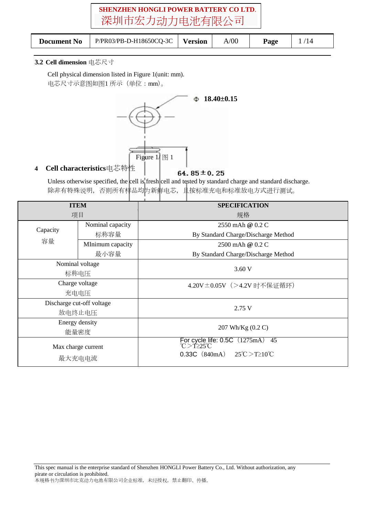|--|

#### **3.2 Cell dimension** 电芯尺寸

Cell physical dimension listed in Figure 1(unit: mm). 电芯尺寸示意图如图1 所示(单位:mm)。



**4 Cell characteristics**电芯特性

#### 64.85 $\pm$ 0.25

Unless otherwise specified, the cell is fresh cell and tested by standard charge and standard discharge. 除非有特殊说明,否则所有样品均为新鲜电芯,且按标准充电和标准放电方式进行测试。

|          | <b>ITEM</b>               | <b>SPECIFICATION</b>                                                                                            |  |  |  |
|----------|---------------------------|-----------------------------------------------------------------------------------------------------------------|--|--|--|
|          | 项目                        | 规格                                                                                                              |  |  |  |
| Capacity | Nominal capacity          | 2550 mAh @ $0.2 \text{ C}$                                                                                      |  |  |  |
|          | 标称容量                      | By Standard Charge/Discharge Method                                                                             |  |  |  |
| 容量       | MInimum capacity          | 2500 mAh @ 0.2 C                                                                                                |  |  |  |
|          | 最小容量                      | By Standard Charge/Discharge Method                                                                             |  |  |  |
|          | Nominal voltage           | 3.60V                                                                                                           |  |  |  |
| 标称电压     |                           |                                                                                                                 |  |  |  |
|          | Charge voltage            | 4.20V±0.05V (>4.2V 时不保证循环)                                                                                      |  |  |  |
|          | 充电电压                      |                                                                                                                 |  |  |  |
|          | Discharge cut-off voltage |                                                                                                                 |  |  |  |
|          | 放电终止电压                    | 2.75 V                                                                                                          |  |  |  |
|          | Energy density            |                                                                                                                 |  |  |  |
|          | 能量密度                      | 207 Wh/Kg (0.2 C)                                                                                               |  |  |  |
|          | Max charge current        | For cycle life: $0.5C$ $(1275mA)$<br>$C > T225$ °C<br>45<br>0.33C (840mA) $25^{\circ}$ C > T ≥10 <sup>°</sup> C |  |  |  |
|          | 最大充电电流                    |                                                                                                                 |  |  |  |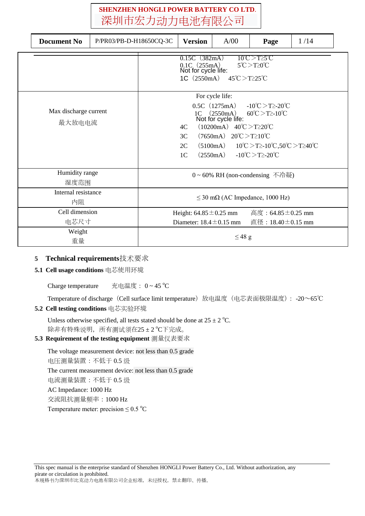| <b>Document No</b><br>P/PR03/PB-D-H18650CQ-3C |                                                                                                                                                                                                                                                                                                                                                                                                                                      |             | <b>Version</b> | A/00 | Page                          | 1/14 |  |
|-----------------------------------------------|--------------------------------------------------------------------------------------------------------------------------------------------------------------------------------------------------------------------------------------------------------------------------------------------------------------------------------------------------------------------------------------------------------------------------------------|-------------|----------------|------|-------------------------------|------|--|
|                                               | $0.15C$ (382mA)<br>$10^{\circ}$ C $>$ T $\geq$ s $\degree$ C $\degree$<br>0.1C (255mA)<br>Not for cycle life:<br>$5^{\circ}$ C $>$ T $\geq$ 0 $^{\circ}$ C<br>1C $(2550mA)$<br>$45^{\circ}$ C $>$ T $\geq$ 25 $^{\circ}$ C                                                                                                                                                                                                           |             |                |      |                               |      |  |
| Max discharge current<br>最大放电电流               | For cycle life:<br>$-10^{\circ}$ C $>$ T $\geq$ -20 $^{\circ}$ C<br>$0.5C$ (1275mA)<br>$60^{\circ}$ C > T2-10 $^{\circ}$ C<br>(2550mA)<br>1 <sup>C</sup><br>Not for cycle life:<br>$(10200mA)$ 40°C > T ≥ 20°C<br>4C<br>$(7650mA)$ 20°C > T ≥ 10°C<br>3C<br>$10^{\circ}$ C > T2- $10^{\circ}$ C,50 $^{\circ}$ C > T240 $^{\circ}$ C<br>(5100mA)<br>2C<br>$-10^{\circ}$ C $>$ T $\geq$ -20 $^{\circ}$ C<br>(2550mA)<br>1 <sup>C</sup> |             |                |      |                               |      |  |
| Humidity range<br>湿度范围                        |                                                                                                                                                                                                                                                                                                                                                                                                                                      |             |                |      | 0~60% RH (non-condensing 不冷凝) |      |  |
| Internal resistance<br>内阻                     | $\leq$ 30 m $\Omega$ (AC Impedance, 1000 Hz)                                                                                                                                                                                                                                                                                                                                                                                         |             |                |      |                               |      |  |
| Cell dimension<br>电芯尺寸                        | 高度:64.85 $\pm$ 0.25 mm<br>Height: $64.85 \pm 0.25$ mm<br>Diameter: $18.4 \pm 0.15$ mm<br>直径:18.40±0.15 mm                                                                                                                                                                                                                                                                                                                            |             |                |      |                               |      |  |
| Weight<br>重量                                  |                                                                                                                                                                                                                                                                                                                                                                                                                                      | $\leq$ 48 g |                |      |                               |      |  |

### **5 Technical requirements**技术要求

#### **5.1 Cell usage conditions** 电芯使用环境

Charge temperature 充电温度:  $0 \sim 45 \degree C$ 

Temperature of discharge (Cell surface limit temperature) 放电温度(电芯表面极限温度): -20~65℃ **5.2 Cell testing conditions** 电芯实验环境

### Unless otherwise specified, all tests stated should be done at  $25 \pm 2$  °C. 除非有特殊说明, 所有测试须在25±2 °C下完成。

### **5.3 Requirement of the testing equipment** 测量仪表要求

The voltage measurement device: not less than 0.5 grade 电压测量装置:不低于 0.5 级 The current measurement device: not less than 0.5 grade 电流测量装置:不低于 0.5 级 AC Impedance: 1000 Hz 交流阻抗测量频率:1000 Hz Temperature meter: precision  $\leq 0.5$  °C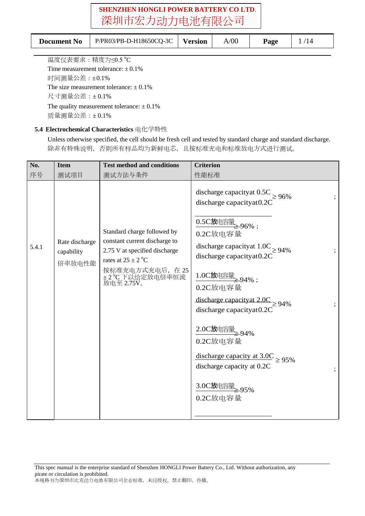| <b>Document No</b> | P/PR03/PB-D-H18650CQ-3C | Version | A/00 | <b>Page</b> |  |
|--------------------|-------------------------|---------|------|-------------|--|
|                    |                         |         |      |             |  |

温度仪表要求:精度为≤0.5 °C Time measurement tolerance:  $\pm 0.1\%$ 时间测量公差:±0.1% The size measurement tolerance:  $\pm$  0.1% 尺寸测量公差:± 0.1% The quality measurement tolerance:  $\pm$  0.1% 质量测量公差:± 0.1%

### **5.4 Electrochemical Characteristics** 电化学特性

Unless otherwise specified, the cell should be fresh cell and tested by standard charge and standard discharge. 除非有特殊说明,否则所有样品均为新鲜电芯,且按标准充电和标准放电方式进行测试。

| No.   | <b>Item</b>                            | <b>Test method and conditions</b>                                                                                                                                       | <b>Criterion</b>                                                                                                                                                                                                                                                                                                                                                                                                                        |
|-------|----------------------------------------|-------------------------------------------------------------------------------------------------------------------------------------------------------------------------|-----------------------------------------------------------------------------------------------------------------------------------------------------------------------------------------------------------------------------------------------------------------------------------------------------------------------------------------------------------------------------------------------------------------------------------------|
| 序号    | 测试项目                                   | 测试方法与条件                                                                                                                                                                 | 性能标准                                                                                                                                                                                                                                                                                                                                                                                                                                    |
| 5.4.1 | Rate discharge<br>capability<br>倍率放电性能 | Standard charge followed by<br>constant current discharge to<br>2.75 V at specified discharge<br>rates at $25 \pm 2$ °C<br>按标准充电方式充电后, 在 25<br>+2°C下以给定放电倍率恒流放电至 2.75V。 | discharge capacity at $0.5C \ge 96\%$<br>discharge capacityat0.2C<br>0.5C放电容量<br>296%;<br>0.2C放电容量<br>discharge capacity at $1.0C$ $\geq$ 94%<br>discharge capacityat0.2C<br>1.0C放电容量<br><del>● 2.9</del> 4%;<br>0.2C放电容量<br>discharge capacity at $2.0C$ $\geq$ 94%<br>discharge capacityat0.2C<br>2.0C放电容量 94%<br>0.2C放电容量<br>discharge capacity at $3.0C \ge 95\%$<br>discharge capacity at 0.2C<br>3.0C放电容量<br>2.95%<br>$0.2C$ 放电容量 |
|       |                                        |                                                                                                                                                                         |                                                                                                                                                                                                                                                                                                                                                                                                                                         |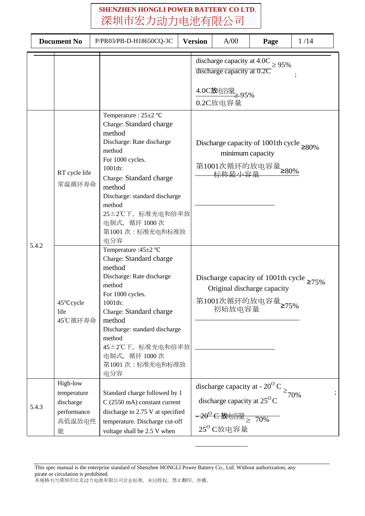| <b>Document No</b> |                                                                    | P/PR03/PB-D-H18650CQ-3C                                                                                                                                                                                                                                                             |  | A/00<br><b>Version</b><br>Page                                                                                                                                 |                                                                                                    | 1/14                   |
|--------------------|--------------------------------------------------------------------|-------------------------------------------------------------------------------------------------------------------------------------------------------------------------------------------------------------------------------------------------------------------------------------|--|----------------------------------------------------------------------------------------------------------------------------------------------------------------|----------------------------------------------------------------------------------------------------|------------------------|
|                    |                                                                    |                                                                                                                                                                                                                                                                                     |  | discharge capacity at 0.2C<br>4.0C放电容量 95%<br>0.2C放电容量                                                                                                         | discharge capacity at 4.0C $\geq 95\%$                                                             |                        |
|                    | RT cycle life<br>常温循环寿命                                            | Temperature : $25\pm2$ °C<br>Charge: Standard charge<br>method<br>Discharge: Rate discharge<br>method<br>For 1000 cycles.<br>1001th:<br>Charge: Standard charge<br>method<br>Discharge: standard discharge<br>method<br>25±2℃下, 标准充电和倍率放<br>电制式, 循环 1000次<br>第1001次:标准充电和标准放<br>电分容 |  | minimum capacity                                                                                                                                               | Discharge capacity of 1001th cycle $\geq 80\%$                                                     |                        |
| 5.4.2              | 45°C cycle<br>life<br>45℃循环寿命                                      | Temperature : 45±2 °C<br>Charge: Standard charge<br>method<br>Discharge: Rate discharge<br>method<br>For 1000 cycles.<br>1001th:<br>Charge: Standard charge<br>method<br>Discharge: standard discharge<br>method<br>45±2℃下, 标准充电和倍率放<br>电制式, 循环 1000次<br>第1001次:标准充电和标准放<br>电分容     |  | 初始放电容量                                                                                                                                                         | Discharge capacity of 1001th cycle $\geq 75\%$<br>Original discharge capacity<br>第1001次循环的放电容量≥75% |                        |
| 5.4.3              | High-low<br>temperature<br>discharge<br>performance<br>高低温放电性<br>能 | Standard charge followed by 1<br>$C(2550 \text{ mA})$ constant current<br>discharge to 2.75 V at specified<br>temperature. Discharge cut-off<br>voltage shall be 2.5 V when                                                                                                         |  | discharge capacity at - $20^{\circ}$ C<br>discharge capacity at $25^{\circ}$ C<br><del>- 20<sup>0</sup> C 放电容量 <sub>≥</sub> 70%</del><br>25 <sup>0</sup> C放电容量 |                                                                                                    | $\geq$ 70%<br>$\vdots$ |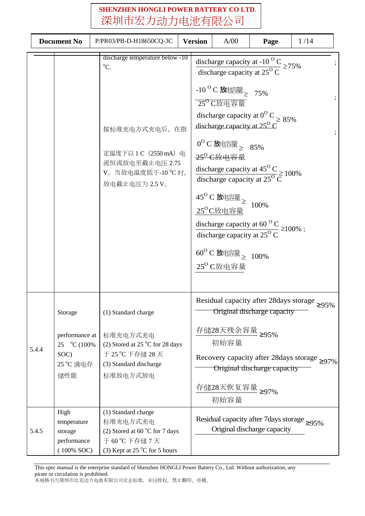|       | <b>Document No</b>                                                    | P/PR03/PB-D-H18650CQ-3C                                                                                                                              | <b>Version</b> | A/00                                                                                                                                                                                                                                                                   | Page                                                                                                                                                                                                                                                                                                             | 1/14                                                                                                       |
|-------|-----------------------------------------------------------------------|------------------------------------------------------------------------------------------------------------------------------------------------------|----------------|------------------------------------------------------------------------------------------------------------------------------------------------------------------------------------------------------------------------------------------------------------------------|------------------------------------------------------------------------------------------------------------------------------------------------------------------------------------------------------------------------------------------------------------------------------------------------------------------|------------------------------------------------------------------------------------------------------------|
|       |                                                                       | discharge temperature below -10<br>$\rm{^oC}.$<br>按标准充电方式充电后, 在指<br>定温度下以 1 C (2550 mA) 电<br>流恒流放电至截止电压 2.75<br>V。当放电温度低于-10 °C 时,<br>放电截止电压为 2.5 V。 |                | -10 <sup>o</sup> C放电容量 2 75%<br>25 <sup>o</sup> C放电容量<br>discharge capacity at $25^{\circ}$ C<br>$0^{\rm O}$ C放电容量 > 85%<br>25 <sup>0</sup> C放电容量<br>$45^{\rm O}$ C放电容量 $_{\geq}$<br>$25^{\rm O}$ C放电容量<br>$60^{\rm O}$ C放电容量 $_{\rm \geq}$ 100%<br>$25^{\rm o}$ C放电容量 | discharge capacity at -10 <sup>o</sup> C<br>discharge capacity at $25^{\circ}$ C $\geq$ 75%<br>discharge capacity at $0^{\circ}$ C $\geq 85\%$<br>discharge capacity at $45^{\circ}$ C<br>discharge capacity at $25^{\circ}$ C<br>100%<br>discharge capacity at 60 °C $\geq$ 100%;<br>discharge capacity at 25°C |                                                                                                            |
| 5.4.4 | Storage<br>performance at<br>25 °C (100%)<br>SOC)<br>25 °C 满电存<br>储性能 | (1) Standard charge<br>标准充电方式充电<br>(2) Stored at 25 $^{\circ}$ C for 28 days<br>于 25 °C 下存储 28 天<br>(3) Standard discharge<br>标准放电方式放电               |                | 存储28天残余容量 ≥95%<br>初始容量<br>存储28天恢复容量 ≥97%<br>初始容量                                                                                                                                                                                                                       | Original discharge capacity<br>Original discharge capacity                                                                                                                                                                                                                                                       | Residual capacity after 28 days storage $\geq 95\%$<br>Recovery capacity after 28 days storage $\geq 97\%$ |
| 5.4.5 | High<br>temperature<br>storage<br>performance<br>$(100\%$ SOC)        | (1) Standard charge<br>标准充电方式充电<br>(2) Stored at 60 $\degree$ C for 7 days<br>于 60 ℃ 下存储 7 天<br>(3) Kept at 25 $\degree$ C for 5 hours               |                |                                                                                                                                                                                                                                                                        | Residual capacity after 7 days storage $\geq 95\%$<br>Original discharge capacity                                                                                                                                                                                                                                |                                                                                                            |

This spec manual is the enterprise standard of Shenzhen HONGLI Power Battery Co., Ltd. Without authorization, any pirate or circulation is prohibited. 本规格书为深圳市比克动力电池有限公司企业标准,未经授权,禁止翻印、传播。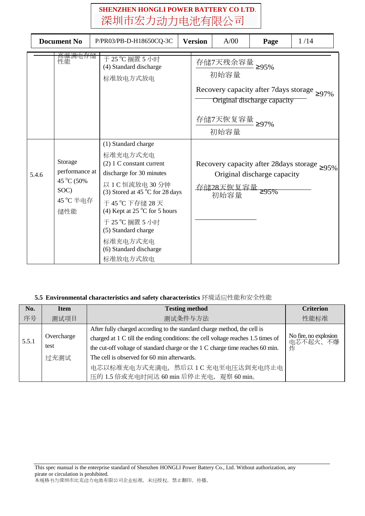| <b>Document No</b> |                                                                     | P/PR03/PB-D-H18650CQ-3C                                                                                                                                                                                                                                                                                               | <b>Version</b> | A/00                                      | Page                                | 1/14                                                |
|--------------------|---------------------------------------------------------------------|-----------------------------------------------------------------------------------------------------------------------------------------------------------------------------------------------------------------------------------------------------------------------------------------------------------------------|----------------|-------------------------------------------|-------------------------------------|-----------------------------------------------------|
|                    | <del>高温满电存储</del><br>性能                                             | 于 25 °C 搁置 5 小时<br>(4) Standard discharge<br>标准放电方式放电                                                                                                                                                                                                                                                                 |                | 存储7天残余容量<br>初始容量<br>存储7天恢复容量 ≥97%<br>初始容量 | 295%<br>Original discharge capacity | Recovery capacity after 7 days storage $\geq 97\%$  |
| 5.4.6              | Storage<br>performance at<br>45 °C (50%<br>SOC)<br>45 °C 半电存<br>储性能 | (1) Standard charge<br>标准充电方式充电<br>$(2)$ 1 C constant current<br>discharge for 30 minutes<br>以 1 C 恒流放电 30 分钟<br>(3) Stored at 45 $^{\circ}$ C for 28 days<br>于 45 °C 下存储 28 天<br>(4) Kept at 25 $^{\circ}$ C for 5 hours<br>于 25 °C 搁置 5 小时<br>(5) Standard charge<br>标准充电方式充电<br>(6) Standard discharge<br>标准放电方式放电 |                | 存储28天恢复容量<br>初始容量                         | Original discharge capacity<br>≥95% | Recovery capacity after 28 days storage $\geq 95\%$ |

### **5.5 Environmental characteristics and safety characteristics** 环境适应性能和安全性能

| No.   | <b>Item</b>                | <b>Testing method</b>                                                                                                                                                                                                                                                                                                                                                         | <b>Criterion</b>                       |
|-------|----------------------------|-------------------------------------------------------------------------------------------------------------------------------------------------------------------------------------------------------------------------------------------------------------------------------------------------------------------------------------------------------------------------------|----------------------------------------|
| 序号    | 测试项目                       | 测试条件与方法                                                                                                                                                                                                                                                                                                                                                                       | 性能标准                                   |
| 5.5.1 | Overcharge<br>test<br>过充测试 | After fully charged according to the standard charge method, the cell is<br>charged at 1 C till the ending conditions: the cell voltage reaches 1.5 times of<br>the cut-off voltage of standard charge or the 1 C charge time reaches 60 min.<br>The cell is observed for 60 min afterwards.<br>电芯以标准充电方式充满电, 然后以 1 C 充电至电压达到充电终止电<br>压的 1.5 倍或充电时间达 60 min 后停止充电, 观察 60 min。 | No fire, no explosion<br>电芯不起火、不爆<br>炸 |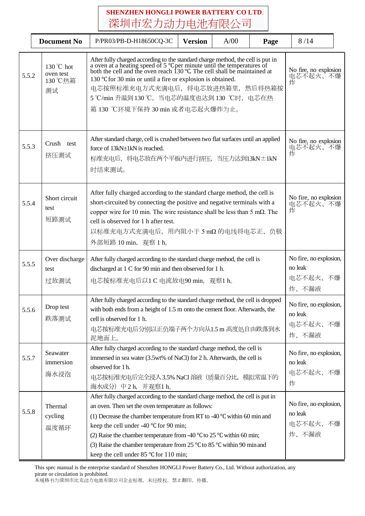|       | <b>Document No</b>                       | P/PR03/PB-D-H18650CQ-3C                                                                                                                                                                                                                                                                                                                                                                                                                                             | <b>Version</b> | A/00 | Page | 8/14                                                   |  |
|-------|------------------------------------------|---------------------------------------------------------------------------------------------------------------------------------------------------------------------------------------------------------------------------------------------------------------------------------------------------------------------------------------------------------------------------------------------------------------------------------------------------------------------|----------------|------|------|--------------------------------------------------------|--|
| 5.5.2 | 130 °C hot<br>oven test<br>130 ℃热箱<br>测试 | After fully charged according to the standard charge method, the cell is put in<br>a oven at a heating speed of 5 °C per minute until the temperatures of<br>both the cell and the oven reach 130 °C. The cell shall be maintained<br>130 °C for 30 min or until a fire or explosion is obtained.<br>电芯按照标准充电方式充满电后, 将电芯放进热箱里, 然后将热箱按<br>5 ℃/min 升温到130 ℃, 当电芯的温度也达到130 ℃时, 电芯在热<br>箱 130 ℃环境下保持 30 min 或者电芯起火爆炸为止。                                                 |                |      |      | No fire, no explosion<br>电芯不起火、不爆<br>炸                 |  |
| 5.5.3 | Crush test<br>挤压测试                       | After standard charge, cell is crushed between two flat surfaces until an applied<br>force of 13kN±1kN is reached.<br>标准充电后,将电芯放在两个平板内进行挤压,当压力达到13kN±1kN<br>时结束测试。                                                                                                                                                                                                                                                                                                  |                |      |      | No fire, no explosion<br>电芯不起火、不爆<br>炸                 |  |
| 5.5.4 | Short circuit<br>test<br>短路测试            | After fully charged according to the standard charge method, the cell is<br>short-circuited by connecting the positive and negative terminals with a<br>copper wire for 10 min. The wire resistance shall be less than 5 m $\Omega$ . The<br>cell is observed for 1 h after test.<br>以标准充电方式充满电后, 用内阻小于 5 mΩ 的电线将电芯正、负极<br>外部短路 10 min, 观察 1 h。                                                                                                                     |                |      |      | No fire, no explosion<br>电芯不起火、不爆<br>炸                 |  |
| 5.5.5 | Over discharge<br>test<br>过放测试           | After fully charged according to the standard charge method, the cell is<br>discharged at 1 C for 90 min and then observed for 1 h.<br>电芯按标准充电后以1 C 电流放电90 min, 观察1 h。                                                                                                                                                                                                                                                                                              |                |      |      | No fire, no explosion,<br>no leak<br>电芯不起火、不爆<br>炸、不漏液 |  |
| 5.5.6 | Drop test<br>跌落测试                        | After fully charged according to the standard charge method, the cell is dropped<br>with both ends from a height of 1.5 m onto the cement floor. Afterwards, the<br>cell is observed for 1 h.<br>电芯按标准充电后分别以正负端子两个方向从1.5m高度处自由跌落到水<br>泥地面上。                                                                                                                                                                                                                         |                |      |      | No fire, no explosion,<br>no leak<br>电芯不起火、不爆<br>炸、不漏液 |  |
| 5.5.7 | Seawater<br>immersion<br>海水浸泡            | After fully charged according to the standard charge method, the cell is<br>immersed in sea water (3.5wt% of NaCl) for 2 h. Afterwards, the cell is<br>observed for 1h.<br>电芯按标准充电后完全浸入3.5% NaCl 溶液 (质量百分比, 模拟常温下的<br>海水成分) 中2h, 并观察1h。                                                                                                                                                                                                                             |                |      |      | No fire, no explosion,<br>no leak<br>电芯不起火、不爆<br>炸     |  |
| 5.5.8 | Thermal<br>cycling<br>温度循环               | After fully charged according to the standard charge method, the cell is put in<br>an oven. Then set the oven temperature as follows:<br>(1) Decrease the chamber temperature from RT to -40 $^{\circ}$ C within 60 min and<br>keep the cell under -40 °C for 90 min;<br>(2) Raise the chamber temperature from -40 °C to 25 °C within 60 min;<br>(3) Raise the chamber temperature from 25 °C to 85 °C within 90 min and<br>keep the cell under 85 °C for 110 min; |                |      |      | No fire, no explosion,<br>no leak<br>电芯不起火、不爆<br>炸、不漏液 |  |

This spec manual is the enterprise standard of Shenzhen HONGLI Power Battery Co., Ltd. Without authorization, any pirate or circulation is prohibited. 本规格书为深圳市比克动力电池有限公司企业标准,未经授权,禁止翻印、传播。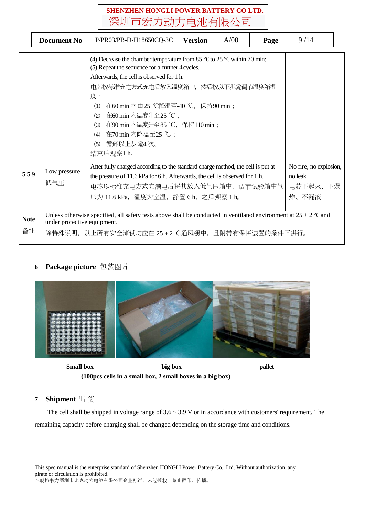|                   | <b>Document No</b>          | P/PR03/PB-D-H18650CQ-3C                                                                                                                                                                                                                                                                                                                                                                                        | <b>Version</b> | A/00 | Page | 9/14                                                   |  |
|-------------------|-----------------------------|----------------------------------------------------------------------------------------------------------------------------------------------------------------------------------------------------------------------------------------------------------------------------------------------------------------------------------------------------------------------------------------------------------------|----------------|------|------|--------------------------------------------------------|--|
|                   |                             | (4) Decrease the chamber temperature from 85 $\degree$ C to 25 $\degree$ C within 70 min;<br>(5) Repeat the sequence for a further 4 cycles.<br>Afterwards, the cell is observed for 1 h.<br>电芯按标准充电方式充电后放入温度箱中,然后按以下步骤调节温度箱温<br>度:<br>在60 min 内由25 ℃降温至-40 ℃, 保持90 min;<br>(1)<br>在60 min 内温度升至25 ℃;<br>(2)<br>在90 min 内温度升至85 ℃, 保持110 min;<br>(3)<br>(4) 在70 min 内降温至25 ℃;<br>循环以上步骤4次。<br>(5)<br>结束后观察1 h。 |                |      |      |                                                        |  |
| 5.5.9             | Low pressure<br>低气压         | After fully charged according to the standard charge method, the cell is put at<br>the pressure of 11.6 kPa for 6 h. Afterwards, the cell is observed for 1 h.<br>电芯以标准充电方式充满电后将其放入低气压箱中, 调节试验箱中气<br>压为 11.6 kPa, 温度为室温, 静置 6 h, 之后观察 1 h。                                                                                                                                                                     |                |      |      | No fire, no explosion,<br>no leak<br>电芯不起火、不爆<br>炸、不漏液 |  |
| <b>Note</b><br>备注 | under protective equipment. | Unless otherwise specified, all safety tests above shall be conducted in ventilated environment at $25 \pm 2$ °C and<br>除特殊说明,以上所有安全测试均应在 25±2 ℃通风橱中,且附带有保护装置的条件下进行。                                                                                                                                                                                                                                           |                |      |      |                                                        |  |

### **6 Package picture** 包装图片



**Small box big box pallet (100pcs cells in a small box, 2 small boxes in a big box)**

### **7 Shipment** 出 货

The cell shall be shipped in voltage range of  $3.6 \sim 3.9$  V or in accordance with customers' requirement. The remaining capacity before charging shall be changed depending on the storage time and conditions.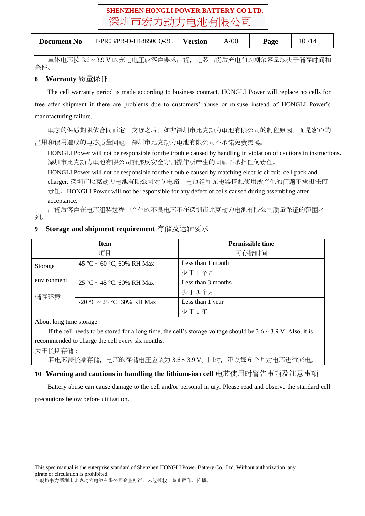| <b>Document No</b> | P/PR03/PB-D-H18650CQ-3C | <b>Version</b> | A/00 | Page |  |  |
|--------------------|-------------------------|----------------|------|------|--|--|
|--------------------|-------------------------|----------------|------|------|--|--|

单体电芯按 3.6 ~ 3.9 V 的充电电压或客户要求出货,电芯出货后充电前的剩余容量取决于储存时间和 条件。

### **8 Warranty** 质量保证

The cell warranty period is made according to business contract. HONGLI Power will replace no cells for free after shipment if there are problems due to customers' abuse or misuse instead of HONGLI Power's manufacturing failure.

电芯的保质期限依合同而定,交货之后,如非深圳市比克动力电池有限公司的制程原因,而是客户的 滥用和误用造成的电芯质量问题,深圳市比克动力电池有限公司不承诺免费更换。

HONGLI Power will not be responsible for the trouble caused by handling in violation of cautions in instructions. 深圳市比克动力电池有限公司对违反安全守则操作所产生的问题不承担任何责任。

HONGLI Power will not be responsible for the trouble caused by matching electric circuit, cell pack and charger. 深圳市比克动力电池有限公司对与电路、电池组和充电器搭配使用所产生的问题不承担任何 责任。HONGLI Power will not be responsible for any defect of cells caused during assembling after acceptance.

出货后客户在电芯组装过程中产生的不良电芯不在深圳市比克动力电池有限公司质量保证的范围之 列。

### **9 Storage and shipment requirement** 存储及运输要求

|             | <b>Item</b>                | <b>Permissible time</b> |
|-------------|----------------------------|-------------------------|
|             | 项目                         | 可存储时间                   |
| Storage     | 45 °C ~ 60 °C, 60% RH Max  | Less than 1 month       |
|             |                            | 少于1个月                   |
| environment | 25 °C ~ 45 °C, 60% RH Max  | Less than 3 months      |
| 储存环境        |                            | 少于3个月                   |
|             | -20 °C ~ 25 °C, 60% RH Max | Less than 1 year        |
|             |                            | 少于1年                    |

About long time storage:

If the cell needs to be stored for a long time, the cell's storage voltage should be  $3.6 \sim 3.9$  V. Also, it is recommended to charge the cell every six months.

关于长期存储: 若电芯需长期存储,电芯的存储电压应该为 3.6 ~ 3.9 V。同时,建议每 6 个月对电芯进行充电。

### **10 Warning and cautions in handling the lithium-ion cell** 电芯使用时警告事项及注意事项

Battery abuse can cause damage to the cell and/or personal injury. Please read and observe the standard cell precautions below before utilization.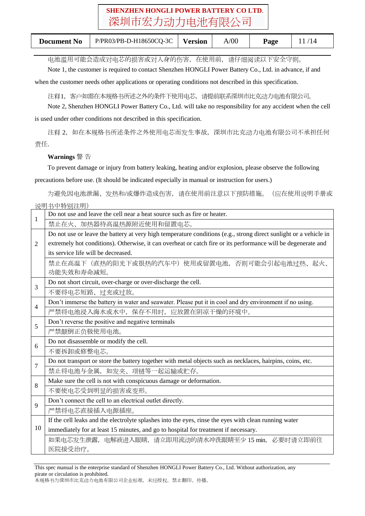| <b>Document No</b><br>P/PR03/PB-D-H18650CQ-3C | Version | A/00 | Page |  |  |
|-----------------------------------------------|---------|------|------|--|--|
|-----------------------------------------------|---------|------|------|--|--|

电池滥用可能会造成对电芯的损害或对人身的伤害,在使用前,请仔细阅读以下安全守则。

Note 1, the customer is required to contact Shenzhen HONGLI Power Battery Co., Ltd. in advance, if and

when the customer needs other applications or operating conditions not described in this specification.

注释1,客户如需在本规格书所述之外的条件下使用电芯,请提前联系深圳市比克动力电池有限公司。

Note 2, Shenzhen HONGLI Power Battery Co., Ltd. will take no responsibility for any accident when the cell is used under other conditions not described in this specification.

注释 2, 如在本规格书所述条件之外使用电芯而发生事故,深圳市比克动力电池有限公司不承担任何 责任.

**Warnings** 警 告

To prevent damage or injury from battery leaking, heating and/or explosion, please observe the following precautions before use. (It should be indicated especially in manual or instruction for users.)

为避免因电池泄漏、发热和/或爆炸造成伤害,请在使用前注意以下预防措施。(应在使用说明手册或 说明书中特别注明)

| Do not use and leave the cell near a heat source such as fire or heater.<br>1 |                                                                                                                   |  |  |  |  |  |
|-------------------------------------------------------------------------------|-------------------------------------------------------------------------------------------------------------------|--|--|--|--|--|
|                                                                               | 禁止在火、加热器待高温热源附近使用和留置电芯。                                                                                           |  |  |  |  |  |
|                                                                               | Do not use or leave the battery at very high temperature conditions (e.g., strong direct sunlight or a vehicle in |  |  |  |  |  |
| $\overline{2}$                                                                | extremely hot conditions). Otherwise, it can overheat or catch fire or its performance will be degenerate and     |  |  |  |  |  |
|                                                                               | its service life will be decreased.                                                                               |  |  |  |  |  |
|                                                                               | 禁止在高温下(直热的阳光下或很热的汽车中)使用或留置电池,否则可能会引起电池过热、起火、                                                                      |  |  |  |  |  |
|                                                                               | 功能失效和寿命减短。                                                                                                        |  |  |  |  |  |
| 3                                                                             | Do not short circuit, over-charge or over-discharge the cell.                                                     |  |  |  |  |  |
|                                                                               | 不要将电芯短路、过充或过放。                                                                                                    |  |  |  |  |  |
| $\overline{4}$                                                                | Don't immerse the battery in water and seawater. Please put it in cool and dry environment if no using.           |  |  |  |  |  |
|                                                                               | 严禁将电池浸入海水或水中, 保存不用时, 应放置在阴凉干燥的环境中。                                                                                |  |  |  |  |  |
| 5                                                                             | Don't reverse the positive and negative terminals                                                                 |  |  |  |  |  |
|                                                                               | 严禁颠倒正负极使用电池。                                                                                                      |  |  |  |  |  |
| 6                                                                             | Do not disassemble or modify the cell.                                                                            |  |  |  |  |  |
|                                                                               | 不要拆卸或修整电芯。                                                                                                        |  |  |  |  |  |
| 7                                                                             | Do not transport or store the battery together with metal objects such as necklaces, hairpins, coins, etc.        |  |  |  |  |  |
|                                                                               | 禁止将电池与金属, 如发夹、项链等一起运输或贮存。                                                                                         |  |  |  |  |  |
| 8                                                                             | Make sure the cell is not with conspicuous damage or deformation.                                                 |  |  |  |  |  |
|                                                                               | 不要使电芯受到明显的损害或变形。                                                                                                  |  |  |  |  |  |
| 9                                                                             | Don't connect the cell to an electrical outlet directly.                                                          |  |  |  |  |  |
|                                                                               | 严禁将电芯直接插入电源插座。                                                                                                    |  |  |  |  |  |
|                                                                               | If the cell leaks and the electrolyte splashes into the eyes, rinse the eyes with clean running water             |  |  |  |  |  |
| 10                                                                            | immediately for at least 15 minutes, and go to hospital for treatment if necessary.                               |  |  |  |  |  |
|                                                                               | 如果电芯发生泄露, 电解液进入眼睛, 请立即用流动的清水冲洗眼睛至少 15 min, 必要时请立即前往                                                               |  |  |  |  |  |
|                                                                               | 医院接受治疗。                                                                                                           |  |  |  |  |  |

This spec manual is the enterprise standard of Shenzhen HONGLI Power Battery Co., Ltd. Without authorization, any pirate or circulation is prohibited. 本规格书为深圳市比克动力电池有限公司企业标准,未经授权,禁止翻印、传播。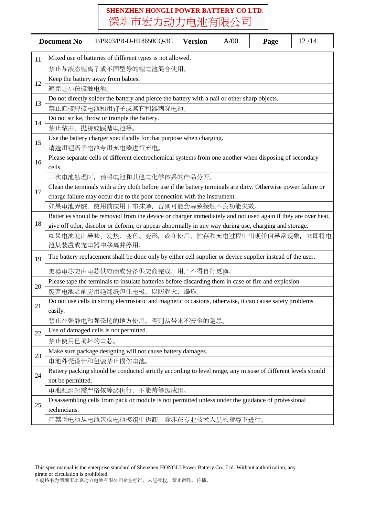|    | <b>Document No</b>     | P/PR03/PB-D-H18650CQ-3C                                                                                        | <b>Version</b> | A/00 | Page | 12/14 |  |
|----|------------------------|----------------------------------------------------------------------------------------------------------------|----------------|------|------|-------|--|
| 11 |                        | Mixed use of batteries of different types is not allowed.                                                      |                |      |      |       |  |
|    | 禁止与液态锂离子或不同型号的锂电池混合使用。 |                                                                                                                |                |      |      |       |  |
|    |                        | Keep the battery away from babies.                                                                             |                |      |      |       |  |
| 12 | 避免让小孩接触电池。             |                                                                                                                |                |      |      |       |  |
|    |                        | Do not directly solder the battery and pierce the battery with a nail or other sharp objects.                  |                |      |      |       |  |
| 13 |                        | 禁止直接焊接电池和用钉子或其它利器刺穿电池。                                                                                         |                |      |      |       |  |
|    |                        | Do not strike, throw or trample the battery.                                                                   |                |      |      |       |  |
| 14 |                        | 禁止敲击、抛掷或踩踏电池等。                                                                                                 |                |      |      |       |  |
| 15 |                        | Use the battery charger specifically for that purpose when charging.                                           |                |      |      |       |  |
|    |                        | 请选用锂离子电池专用充电器进行充电。                                                                                             |                |      |      |       |  |
| 16 |                        | Please separate cells of different electrochemical systems from one another when disposing of secondary        |                |      |      |       |  |
|    | cells.                 |                                                                                                                |                |      |      |       |  |
|    |                        | 二次电池处理时, 请将电池和其他电化学体系的产品分开。                                                                                    |                |      |      |       |  |
| 17 |                        | Clean the terminals with a dry cloth before use if the battery terminals are dirty. Otherwise power failure or |                |      |      |       |  |
|    |                        | charge failure may occur due to the poor connection with the instrument.                                       |                |      |      |       |  |
|    |                        | 如果电池弄脏, 使用前应用干布抹净, 否则可能会导致接触不良功能失效。                                                                            |                |      |      |       |  |
| 18 |                        | Batteries should be removed from the device or charger immediately and not used again if they are over heat,   |                |      |      |       |  |
|    |                        | give off odor, discolor or deform, or appear abnormally in any way during use, charging and storage.           |                |      |      |       |  |
|    |                        | 如果电池发出异味、发热、变色、变形,或在使用、贮存和充电过程中出现任何异常现象,立即将电                                                                   |                |      |      |       |  |
|    |                        | 池从装置或充电器中移离并停用。                                                                                                |                |      |      |       |  |
| 19 |                        | The battery replacement shall be done only by either cell supplier or device supplier instead of the user.     |                |      |      |       |  |
|    |                        | 更换电芯应由电芯供应商或设备供应商完成,用户不得自行更换。                                                                                  |                |      |      |       |  |
| 20 |                        | Please tape the terminals to insulate batteries before discarding them in case of fire and explosion.          |                |      |      |       |  |
|    |                        | 废弃电池之前应用绝缘纸包住电极,以防起火、爆炸。                                                                                       |                |      |      |       |  |
| 21 | easily.                | Do not use cells in strong electrostatic and magnetic occasions, otherwise, it can cause safety problems       |                |      |      |       |  |
|    |                        | 禁止在强静电和强磁场的地方使用,                                                                                               | 否则易带来不安全的隐患。   |      |      |       |  |
| 22 |                        | Use of damaged cells is not permitted.                                                                         |                |      |      |       |  |
|    | 禁止使用已损坏的电芯。            |                                                                                                                |                |      |      |       |  |
|    |                        | Make sure package designing will not cause battery damages.                                                    |                |      |      |       |  |
| 23 |                        | 电池外壳设计和包装禁止损伤电池。                                                                                               |                |      |      |       |  |
| 24 |                        | Battery packing should be conducted strictly according to level range, any misuse of different levels should   |                |      |      |       |  |
|    | not be permitted.      |                                                                                                                |                |      |      |       |  |
|    |                        | 电池配组时需严格按等级执行,不能跨等级成组。                                                                                         |                |      |      |       |  |
| 25 |                        | Disassembling cells from pack or module is not permitted unless under the guidance of professional             |                |      |      |       |  |
|    | technicians.           |                                                                                                                |                |      |      |       |  |
|    |                        | 严禁将电池从电池包或电池模组中拆卸,除非在专业技术人员的指导下进行。                                                                             |                |      |      |       |  |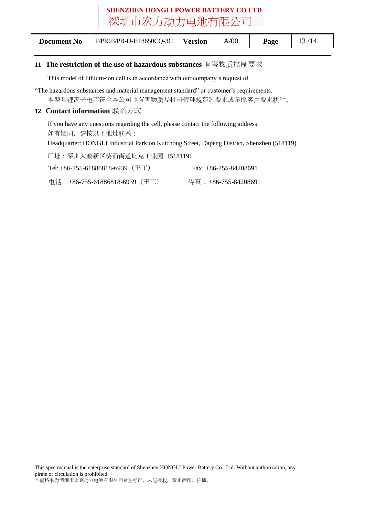| <b>Document No</b> | $P/PRO3/PB-D-H18650CQ-3C$   Version |  | A/00 | Page |  |  |
|--------------------|-------------------------------------|--|------|------|--|--|
|--------------------|-------------------------------------|--|------|------|--|--|

### **11 The restriction of the use of hazardous substances** 有害物质控制要求

This model of lithium-ion cell is in accordance with our company's request of

"The hazardous substances and material management standard" or customer's requirements. 本型号锂离子电芯符合本公司《有害物质与材料管理规范》要求或参照客户要求执行。

#### **12 Contact information** 联系方式

If you have any questions regarding the cell, please contact the following address: 如有疑问,请按以下地址联系:

Headquarter: HONGLI Industrial Park on Kuichong Street, Dapeng District, Shenzhen (518119)

厂址:深圳大鹏新区葵涌街道比克工业园(518119)

| Tel: $+86-755-61886818-6939$ (王工) | Fax: $+86-755-84208691$ |
|-----------------------------------|-------------------------|
| 电话:+86-755-61886818-6939(王工)      | 传真:+86-755-84208691     |